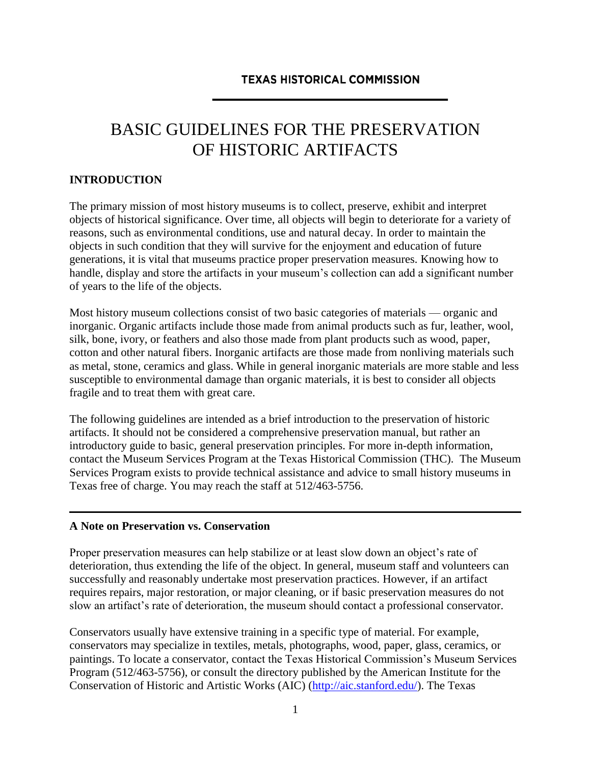#### **TEXAS HISTORICAL COMMISSION**

# BASIC GUIDELINES FOR THE PRESERVATION OF HISTORIC ARTIFACTS

#### **INTRODUCTION**

The primary mission of most history museums is to collect, preserve, exhibit and interpret objects of historical significance. Over time, all objects will begin to deteriorate for a variety of reasons, such as environmental conditions, use and natural decay. In order to maintain the objects in such condition that they will survive for the enjoyment and education of future generations, it is vital that museums practice proper preservation measures. Knowing how to handle, display and store the artifacts in your museum's collection can add a significant number of years to the life of the objects.

Most history museum collections consist of two basic categories of materials — organic and inorganic. Organic artifacts include those made from animal products such as fur, leather, wool, silk, bone, ivory, or feathers and also those made from plant products such as wood, paper, cotton and other natural fibers. Inorganic artifacts are those made from nonliving materials such as metal, stone, ceramics and glass. While in general inorganic materials are more stable and less susceptible to environmental damage than organic materials, it is best to consider all objects fragile and to treat them with great care.

The following guidelines are intended as a brief introduction to the preservation of historic artifacts. It should not be considered a comprehensive preservation manual, but rather an introductory guide to basic, general preservation principles. For more in-depth information, contact the Museum Services Program at the Texas Historical Commission (THC). The Museum Services Program exists to provide technical assistance and advice to small history museums in Texas free of charge. You may reach the staff at 512/463-5756.

#### **A Note on Preservation vs. Conservation**

Proper preservation measures can help stabilize or at least slow down an object's rate of deterioration, thus extending the life of the object. In general, museum staff and volunteers can successfully and reasonably undertake most preservation practices. However, if an artifact requires repairs, major restoration, or major cleaning, or if basic preservation measures do not slow an artifact's rate of deterioration, the museum should contact a professional conservator.

Conservators usually have extensive training in a specific type of material. For example, conservators may specialize in textiles, metals, photographs, wood, paper, glass, ceramics, or paintings. To locate a conservator, contact the Texas Historical Commission's Museum Services Program (512/463-5756), or consult the directory published by the American Institute for the Conservation of Historic and Artistic Works (AIC) [\(http://aic.stanford.edu/\)](http://aic.stanford.edu/). The Texas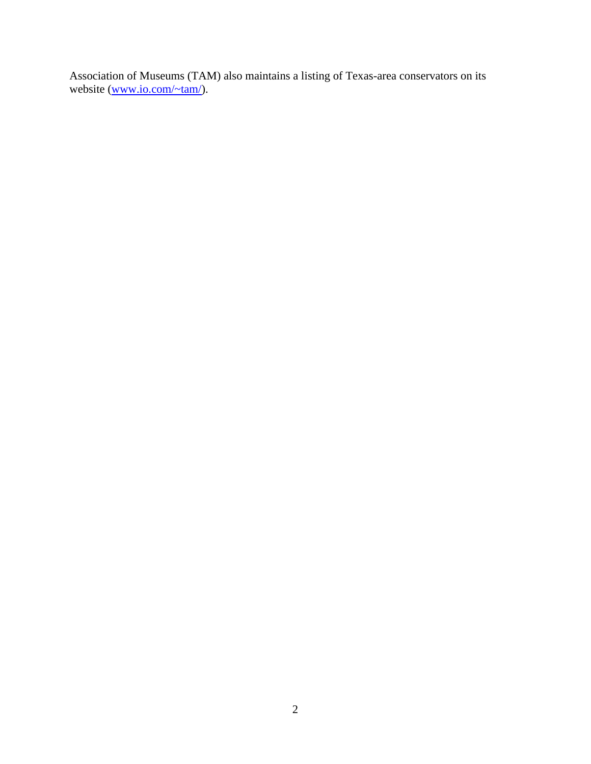Association of Museums (TAM) also maintains a listing of Texas-area conservators on its website [\(www.io.com/~tam/\)](http://www.io.com/~tam/).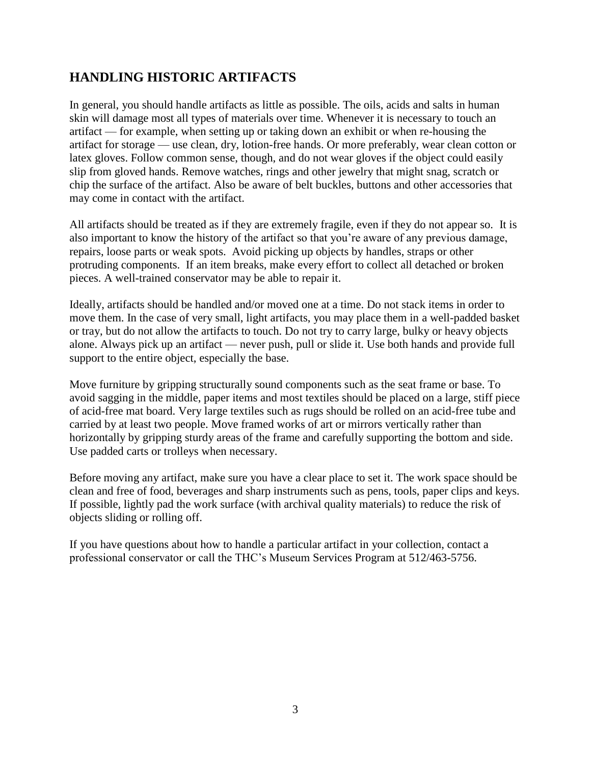### **HANDLING HISTORIC ARTIFACTS**

In general, you should handle artifacts as little as possible. The oils, acids and salts in human skin will damage most all types of materials over time. Whenever it is necessary to touch an artifact — for example, when setting up or taking down an exhibit or when re-housing the artifact for storage — use clean, dry, lotion-free hands. Or more preferably, wear clean cotton or latex gloves. Follow common sense, though, and do not wear gloves if the object could easily slip from gloved hands. Remove watches, rings and other jewelry that might snag, scratch or chip the surface of the artifact. Also be aware of belt buckles, buttons and other accessories that may come in contact with the artifact.

All artifacts should be treated as if they are extremely fragile, even if they do not appear so. It is also important to know the history of the artifact so that you're aware of any previous damage, repairs, loose parts or weak spots. Avoid picking up objects by handles, straps or other protruding components. If an item breaks, make every effort to collect all detached or broken pieces. A well-trained conservator may be able to repair it.

Ideally, artifacts should be handled and/or moved one at a time. Do not stack items in order to move them. In the case of very small, light artifacts, you may place them in a well-padded basket or tray, but do not allow the artifacts to touch. Do not try to carry large, bulky or heavy objects alone. Always pick up an artifact — never push, pull or slide it. Use both hands and provide full support to the entire object, especially the base.

Move furniture by gripping structurally sound components such as the seat frame or base. To avoid sagging in the middle, paper items and most textiles should be placed on a large, stiff piece of acid-free mat board. Very large textiles such as rugs should be rolled on an acid-free tube and carried by at least two people. Move framed works of art or mirrors vertically rather than horizontally by gripping sturdy areas of the frame and carefully supporting the bottom and side. Use padded carts or trolleys when necessary.

Before moving any artifact, make sure you have a clear place to set it. The work space should be clean and free of food, beverages and sharp instruments such as pens, tools, paper clips and keys. If possible, lightly pad the work surface (with archival quality materials) to reduce the risk of objects sliding or rolling off.

If you have questions about how to handle a particular artifact in your collection, contact a professional conservator or call the THC's Museum Services Program at 512/463-5756.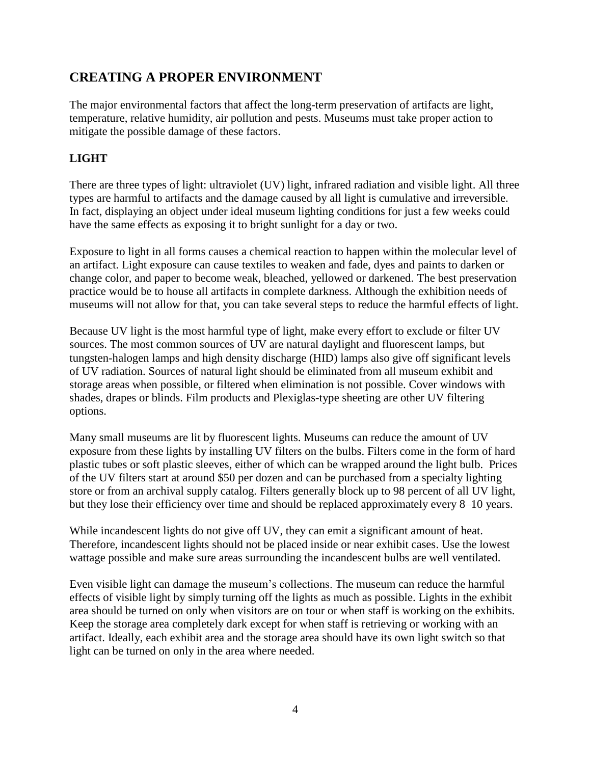### **CREATING A PROPER ENVIRONMENT**

The major environmental factors that affect the long-term preservation of artifacts are light, temperature, relative humidity, air pollution and pests. Museums must take proper action to mitigate the possible damage of these factors.

#### **LIGHT**

There are three types of light: ultraviolet (UV) light, infrared radiation and visible light. All three types are harmful to artifacts and the damage caused by all light is cumulative and irreversible. In fact, displaying an object under ideal museum lighting conditions for just a few weeks could have the same effects as exposing it to bright sunlight for a day or two.

Exposure to light in all forms causes a chemical reaction to happen within the molecular level of an artifact. Light exposure can cause textiles to weaken and fade, dyes and paints to darken or change color, and paper to become weak, bleached, yellowed or darkened. The best preservation practice would be to house all artifacts in complete darkness. Although the exhibition needs of museums will not allow for that, you can take several steps to reduce the harmful effects of light.

Because UV light is the most harmful type of light, make every effort to exclude or filter UV sources. The most common sources of UV are natural daylight and fluorescent lamps, but tungsten-halogen lamps and high density discharge (HID) lamps also give off significant levels of UV radiation. Sources of natural light should be eliminated from all museum exhibit and storage areas when possible, or filtered when elimination is not possible. Cover windows with shades, drapes or blinds. Film products and Plexiglas-type sheeting are other UV filtering options.

Many small museums are lit by fluorescent lights. Museums can reduce the amount of UV exposure from these lights by installing UV filters on the bulbs. Filters come in the form of hard plastic tubes or soft plastic sleeves, either of which can be wrapped around the light bulb. Prices of the UV filters start at around \$50 per dozen and can be purchased from a specialty lighting store or from an archival supply catalog. Filters generally block up to 98 percent of all UV light, but they lose their efficiency over time and should be replaced approximately every 8–10 years.

While incandescent lights do not give off UV, they can emit a significant amount of heat. Therefore, incandescent lights should not be placed inside or near exhibit cases. Use the lowest wattage possible and make sure areas surrounding the incandescent bulbs are well ventilated.

Even visible light can damage the museum's collections. The museum can reduce the harmful effects of visible light by simply turning off the lights as much as possible. Lights in the exhibit area should be turned on only when visitors are on tour or when staff is working on the exhibits. Keep the storage area completely dark except for when staff is retrieving or working with an artifact. Ideally, each exhibit area and the storage area should have its own light switch so that light can be turned on only in the area where needed.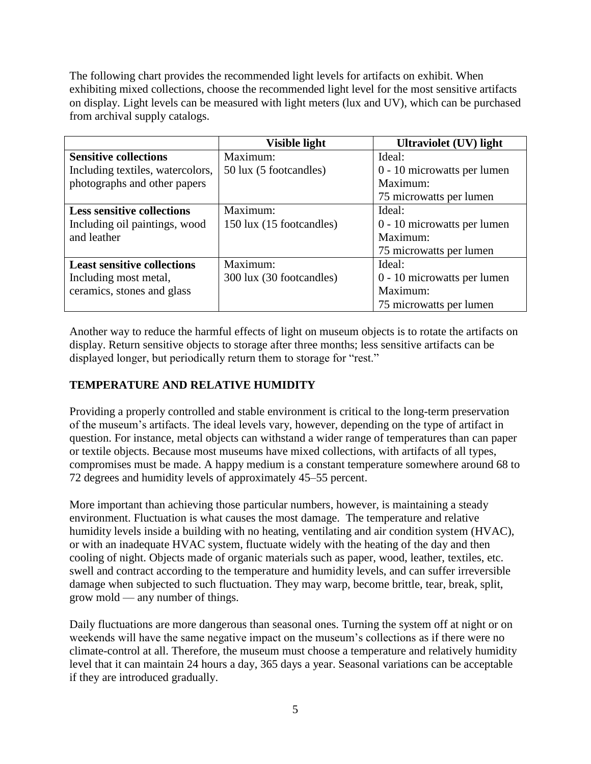The following chart provides the recommended light levels for artifacts on exhibit. When exhibiting mixed collections, choose the recommended light level for the most sensitive artifacts on display. Light levels can be measured with light meters (lux and UV), which can be purchased from archival supply catalogs.

|                                    | Visible light            | <b>Ultraviolet (UV) light</b> |
|------------------------------------|--------------------------|-------------------------------|
| <b>Sensitive collections</b>       | Maximum:                 | Ideal:                        |
| Including textiles, watercolors,   | 50 lux (5 footcandles)   | 0 - 10 microwatts per lumen   |
| photographs and other papers       |                          | Maximum:                      |
|                                    |                          | 75 microwatts per lumen       |
| <b>Less sensitive collections</b>  | Maximum:                 | Ideal:                        |
| Including oil paintings, wood      | 150 lux (15 footcandles) | 0 - 10 microwatts per lumen   |
| and leather                        |                          | Maximum:                      |
|                                    |                          | 75 microwatts per lumen       |
| <b>Least sensitive collections</b> | Maximum:                 | Ideal:                        |
| Including most metal,              | 300 lux (30 footcandles) | 0 - 10 microwatts per lumen   |
| ceramics, stones and glass         |                          | Maximum:                      |
|                                    |                          | 75 microwatts per lumen       |

Another way to reduce the harmful effects of light on museum objects is to rotate the artifacts on display. Return sensitive objects to storage after three months; less sensitive artifacts can be displayed longer, but periodically return them to storage for "rest."

### **TEMPERATURE AND RELATIVE HUMIDITY**

Providing a properly controlled and stable environment is critical to the long-term preservation of the museum's artifacts. The ideal levels vary, however, depending on the type of artifact in question. For instance, metal objects can withstand a wider range of temperatures than can paper or textile objects. Because most museums have mixed collections, with artifacts of all types, compromises must be made. A happy medium is a constant temperature somewhere around 68 to 72 degrees and humidity levels of approximately 45–55 percent.

More important than achieving those particular numbers, however, is maintaining a steady environment. Fluctuation is what causes the most damage. The temperature and relative humidity levels inside a building with no heating, ventilating and air condition system (HVAC), or with an inadequate HVAC system, fluctuate widely with the heating of the day and then cooling of night. Objects made of organic materials such as paper, wood, leather, textiles, etc. swell and contract according to the temperature and humidity levels, and can suffer irreversible damage when subjected to such fluctuation. They may warp, become brittle, tear, break, split, grow mold — any number of things.

Daily fluctuations are more dangerous than seasonal ones. Turning the system off at night or on weekends will have the same negative impact on the museum's collections as if there were no climate-control at all. Therefore, the museum must choose a temperature and relatively humidity level that it can maintain 24 hours a day, 365 days a year. Seasonal variations can be acceptable if they are introduced gradually.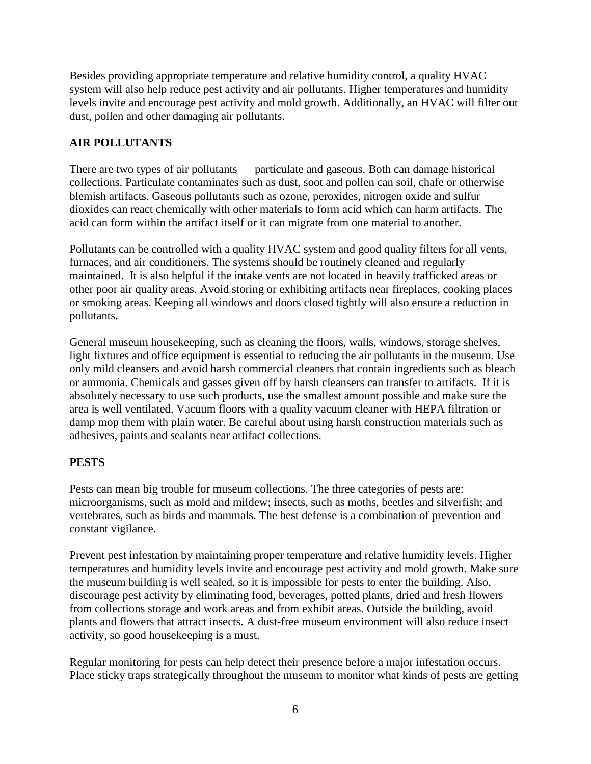Besides providing appropriate temperature and relative humidity control, a quality HVAC system will also help reduce pest activity and air pollutants. Higher temperatures and humidity levels invite and encourage pest activity and mold growth. Additionally, an HVAC will filter out dust, pollen and other damaging air pollutants.

#### **AIR POLLUTANTS**

There are two types of air pollutants — particulate and gaseous. Both can damage historical collections. Particulate contaminates such as dust, soot and pollen can soil, chafe or otherwise blemish artifacts. Gaseous pollutants such as ozone, peroxides, nitrogen oxide and sulfur dioxides can react chemically with other materials to form acid which can harm artifacts. The acid can form within the artifact itself or it can migrate from one material to another.

Pollutants can be controlled with a quality HVAC system and good quality filters for all vents, furnaces, and air conditioners. The systems should be routinely cleaned and regularly maintained. It is also helpful if the intake vents are not located in heavily trafficked areas or other poor air quality areas. Avoid storing or exhibiting artifacts near fireplaces, cooking places or smoking areas. Keeping all windows and doors closed tightly will also ensure a reduction in pollutants.

General museum housekeeping, such as cleaning the floors, walls, windows, storage shelves, light fixtures and office equipment is essential to reducing the air pollutants in the museum. Use only mild cleansers and avoid harsh commercial cleaners that contain ingredients such as bleach or ammonia. Chemicals and gasses given off by harsh cleansers can transfer to artifacts. If it is absolutely necessary to use such products, use the smallest amount possible and make sure the area is well ventilated. Vacuum floors with a quality vacuum cleaner with HEPA filtration or damp mop them with plain water. Be careful about using harsh construction materials such as adhesives, paints and sealants near artifact collections.

#### **PESTS**

Pests can mean big trouble for museum collections. The three categories of pests are: microorganisms, such as mold and mildew; insects, such as moths, beetles and silverfish; and vertebrates, such as birds and mammals. The best defense is a combination of prevention and constant vigilance.

Prevent pest infestation by maintaining proper temperature and relative humidity levels. Higher temperatures and humidity levels invite and encourage pest activity and mold growth. Make sure the museum building is well sealed, so it is impossible for pests to enter the building. Also, discourage pest activity by eliminating food, beverages, potted plants, dried and fresh flowers from collections storage and work areas and from exhibit areas. Outside the building, avoid plants and flowers that attract insects. A dust-free museum environment will also reduce insect activity, so good housekeeping is a must.

Regular monitoring for pests can help detect their presence before a major infestation occurs. Place sticky traps strategically throughout the museum to monitor what kinds of pests are getting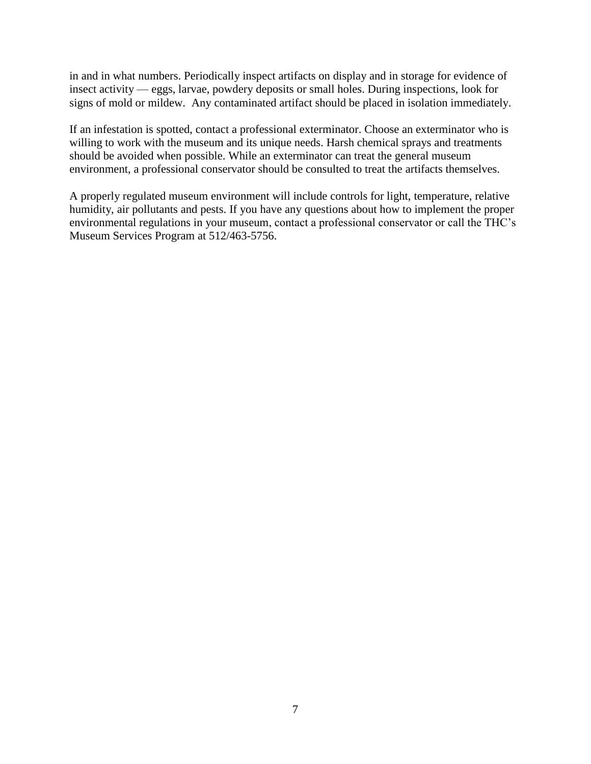in and in what numbers. Periodically inspect artifacts on display and in storage for evidence of insect activity — eggs, larvae, powdery deposits or small holes. During inspections, look for signs of mold or mildew. Any contaminated artifact should be placed in isolation immediately.

If an infestation is spotted, contact a professional exterminator. Choose an exterminator who is willing to work with the museum and its unique needs. Harsh chemical sprays and treatments should be avoided when possible. While an exterminator can treat the general museum environment, a professional conservator should be consulted to treat the artifacts themselves.

A properly regulated museum environment will include controls for light, temperature, relative humidity, air pollutants and pests. If you have any questions about how to implement the proper environmental regulations in your museum, contact a professional conservator or call the THC's Museum Services Program at 512/463-5756.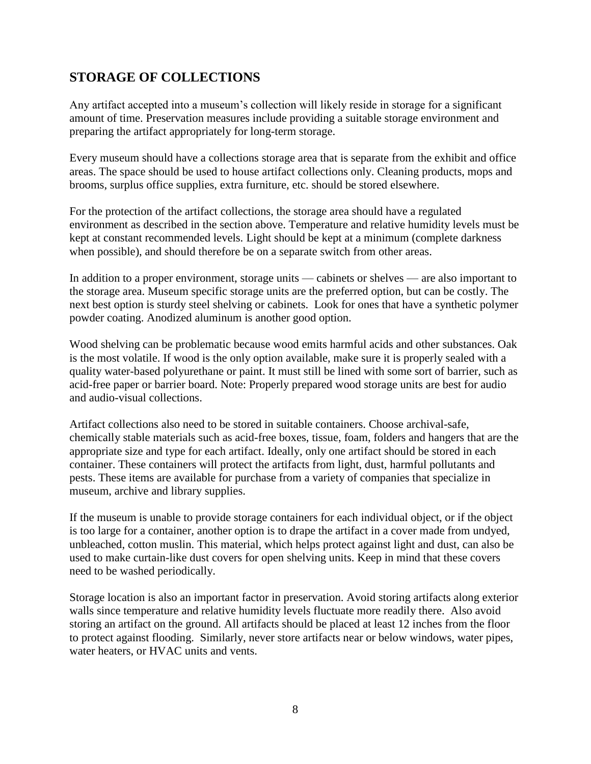### **STORAGE OF COLLECTIONS**

Any artifact accepted into a museum's collection will likely reside in storage for a significant amount of time. Preservation measures include providing a suitable storage environment and preparing the artifact appropriately for long-term storage.

Every museum should have a collections storage area that is separate from the exhibit and office areas. The space should be used to house artifact collections only. Cleaning products, mops and brooms, surplus office supplies, extra furniture, etc. should be stored elsewhere.

For the protection of the artifact collections, the storage area should have a regulated environment as described in the section above. Temperature and relative humidity levels must be kept at constant recommended levels. Light should be kept at a minimum (complete darkness when possible), and should therefore be on a separate switch from other areas.

In addition to a proper environment, storage units — cabinets or shelves — are also important to the storage area. Museum specific storage units are the preferred option, but can be costly. The next best option is sturdy steel shelving or cabinets. Look for ones that have a synthetic polymer powder coating. Anodized aluminum is another good option.

Wood shelving can be problematic because wood emits harmful acids and other substances. Oak is the most volatile. If wood is the only option available, make sure it is properly sealed with a quality water-based polyurethane or paint. It must still be lined with some sort of barrier, such as acid-free paper or barrier board. Note: Properly prepared wood storage units are best for audio and audio-visual collections.

Artifact collections also need to be stored in suitable containers. Choose archival-safe, chemically stable materials such as acid-free boxes, tissue, foam, folders and hangers that are the appropriate size and type for each artifact. Ideally, only one artifact should be stored in each container. These containers will protect the artifacts from light, dust, harmful pollutants and pests. These items are available for purchase from a variety of companies that specialize in museum, archive and library supplies.

If the museum is unable to provide storage containers for each individual object, or if the object is too large for a container, another option is to drape the artifact in a cover made from undyed, unbleached, cotton muslin. This material, which helps protect against light and dust, can also be used to make curtain-like dust covers for open shelving units. Keep in mind that these covers need to be washed periodically.

Storage location is also an important factor in preservation. Avoid storing artifacts along exterior walls since temperature and relative humidity levels fluctuate more readily there. Also avoid storing an artifact on the ground. All artifacts should be placed at least 12 inches from the floor to protect against flooding. Similarly, never store artifacts near or below windows, water pipes, water heaters, or HVAC units and vents.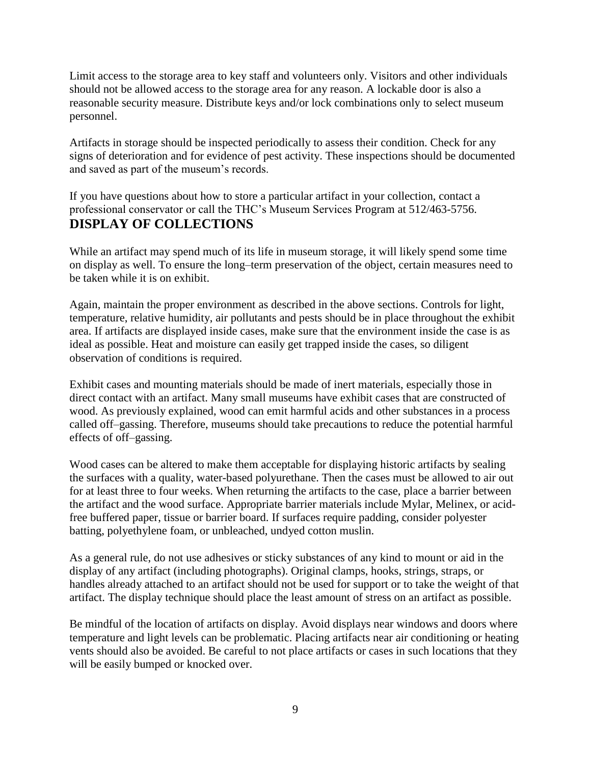Limit access to the storage area to key staff and volunteers only. Visitors and other individuals should not be allowed access to the storage area for any reason. A lockable door is also a reasonable security measure. Distribute keys and/or lock combinations only to select museum personnel.

Artifacts in storage should be inspected periodically to assess their condition. Check for any signs of deterioration and for evidence of pest activity. These inspections should be documented and saved as part of the museum's records.

If you have questions about how to store a particular artifact in your collection, contact a professional conservator or call the THC's Museum Services Program at 512/463-5756. **DISPLAY OF COLLECTIONS**

While an artifact may spend much of its life in museum storage, it will likely spend some time on display as well. To ensure the long–term preservation of the object, certain measures need to be taken while it is on exhibit.

Again, maintain the proper environment as described in the above sections. Controls for light, temperature, relative humidity, air pollutants and pests should be in place throughout the exhibit area. If artifacts are displayed inside cases, make sure that the environment inside the case is as ideal as possible. Heat and moisture can easily get trapped inside the cases, so diligent observation of conditions is required.

Exhibit cases and mounting materials should be made of inert materials, especially those in direct contact with an artifact. Many small museums have exhibit cases that are constructed of wood. As previously explained, wood can emit harmful acids and other substances in a process called off–gassing. Therefore, museums should take precautions to reduce the potential harmful effects of off–gassing.

Wood cases can be altered to make them acceptable for displaying historic artifacts by sealing the surfaces with a quality, water-based polyurethane. Then the cases must be allowed to air out for at least three to four weeks. When returning the artifacts to the case, place a barrier between the artifact and the wood surface. Appropriate barrier materials include Mylar, Melinex, or acidfree buffered paper, tissue or barrier board. If surfaces require padding, consider polyester batting, polyethylene foam, or unbleached, undyed cotton muslin.

As a general rule, do not use adhesives or sticky substances of any kind to mount or aid in the display of any artifact (including photographs). Original clamps, hooks, strings, straps, or handles already attached to an artifact should not be used for support or to take the weight of that artifact. The display technique should place the least amount of stress on an artifact as possible.

Be mindful of the location of artifacts on display. Avoid displays near windows and doors where temperature and light levels can be problematic. Placing artifacts near air conditioning or heating vents should also be avoided. Be careful to not place artifacts or cases in such locations that they will be easily bumped or knocked over.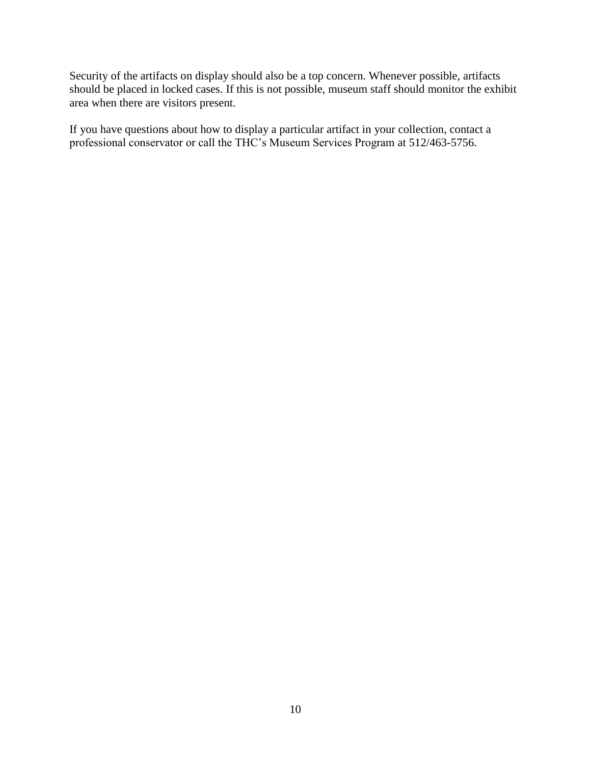Security of the artifacts on display should also be a top concern. Whenever possible, artifacts should be placed in locked cases. If this is not possible, museum staff should monitor the exhibit area when there are visitors present.

If you have questions about how to display a particular artifact in your collection, contact a professional conservator or call the THC's Museum Services Program at 512/463-5756.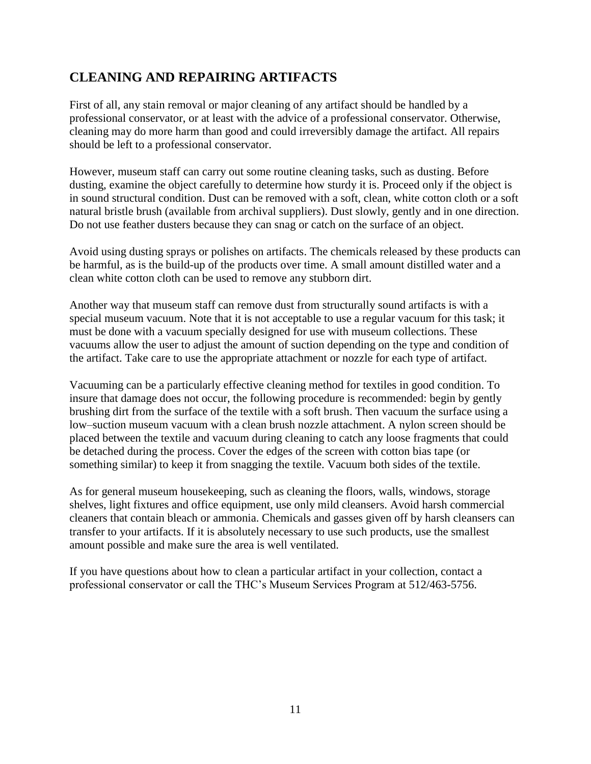### **CLEANING AND REPAIRING ARTIFACTS**

First of all, any stain removal or major cleaning of any artifact should be handled by a professional conservator, or at least with the advice of a professional conservator. Otherwise, cleaning may do more harm than good and could irreversibly damage the artifact. All repairs should be left to a professional conservator.

However, museum staff can carry out some routine cleaning tasks, such as dusting. Before dusting, examine the object carefully to determine how sturdy it is. Proceed only if the object is in sound structural condition. Dust can be removed with a soft, clean, white cotton cloth or a soft natural bristle brush (available from archival suppliers). Dust slowly, gently and in one direction. Do not use feather dusters because they can snag or catch on the surface of an object.

Avoid using dusting sprays or polishes on artifacts. The chemicals released by these products can be harmful, as is the build-up of the products over time. A small amount distilled water and a clean white cotton cloth can be used to remove any stubborn dirt.

Another way that museum staff can remove dust from structurally sound artifacts is with a special museum vacuum. Note that it is not acceptable to use a regular vacuum for this task; it must be done with a vacuum specially designed for use with museum collections. These vacuums allow the user to adjust the amount of suction depending on the type and condition of the artifact. Take care to use the appropriate attachment or nozzle for each type of artifact.

Vacuuming can be a particularly effective cleaning method for textiles in good condition. To insure that damage does not occur, the following procedure is recommended: begin by gently brushing dirt from the surface of the textile with a soft brush. Then vacuum the surface using a low–suction museum vacuum with a clean brush nozzle attachment. A nylon screen should be placed between the textile and vacuum during cleaning to catch any loose fragments that could be detached during the process. Cover the edges of the screen with cotton bias tape (or something similar) to keep it from snagging the textile. Vacuum both sides of the textile.

As for general museum housekeeping, such as cleaning the floors, walls, windows, storage shelves, light fixtures and office equipment, use only mild cleansers. Avoid harsh commercial cleaners that contain bleach or ammonia. Chemicals and gasses given off by harsh cleansers can transfer to your artifacts. If it is absolutely necessary to use such products, use the smallest amount possible and make sure the area is well ventilated.

If you have questions about how to clean a particular artifact in your collection, contact a professional conservator or call the THC's Museum Services Program at 512/463-5756.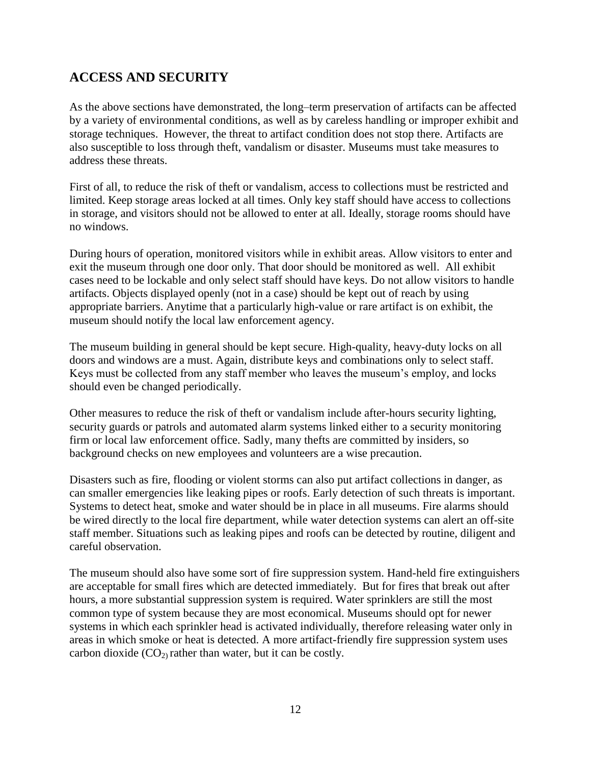### **ACCESS AND SECURITY**

As the above sections have demonstrated, the long–term preservation of artifacts can be affected by a variety of environmental conditions, as well as by careless handling or improper exhibit and storage techniques. However, the threat to artifact condition does not stop there. Artifacts are also susceptible to loss through theft, vandalism or disaster. Museums must take measures to address these threats.

First of all, to reduce the risk of theft or vandalism, access to collections must be restricted and limited. Keep storage areas locked at all times. Only key staff should have access to collections in storage, and visitors should not be allowed to enter at all. Ideally, storage rooms should have no windows.

During hours of operation, monitored visitors while in exhibit areas. Allow visitors to enter and exit the museum through one door only. That door should be monitored as well. All exhibit cases need to be lockable and only select staff should have keys. Do not allow visitors to handle artifacts. Objects displayed openly (not in a case) should be kept out of reach by using appropriate barriers. Anytime that a particularly high-value or rare artifact is on exhibit, the museum should notify the local law enforcement agency.

The museum building in general should be kept secure. High-quality, heavy-duty locks on all doors and windows are a must. Again, distribute keys and combinations only to select staff. Keys must be collected from any staff member who leaves the museum's employ, and locks should even be changed periodically.

Other measures to reduce the risk of theft or vandalism include after-hours security lighting, security guards or patrols and automated alarm systems linked either to a security monitoring firm or local law enforcement office. Sadly, many thefts are committed by insiders, so background checks on new employees and volunteers are a wise precaution.

Disasters such as fire, flooding or violent storms can also put artifact collections in danger, as can smaller emergencies like leaking pipes or roofs. Early detection of such threats is important. Systems to detect heat, smoke and water should be in place in all museums. Fire alarms should be wired directly to the local fire department, while water detection systems can alert an off-site staff member. Situations such as leaking pipes and roofs can be detected by routine, diligent and careful observation.

The museum should also have some sort of fire suppression system. Hand-held fire extinguishers are acceptable for small fires which are detected immediately. But for fires that break out after hours, a more substantial suppression system is required. Water sprinklers are still the most common type of system because they are most economical. Museums should opt for newer systems in which each sprinkler head is activated individually, therefore releasing water only in areas in which smoke or heat is detected. A more artifact-friendly fire suppression system uses carbon dioxide  $(CO_2)$  rather than water, but it can be costly.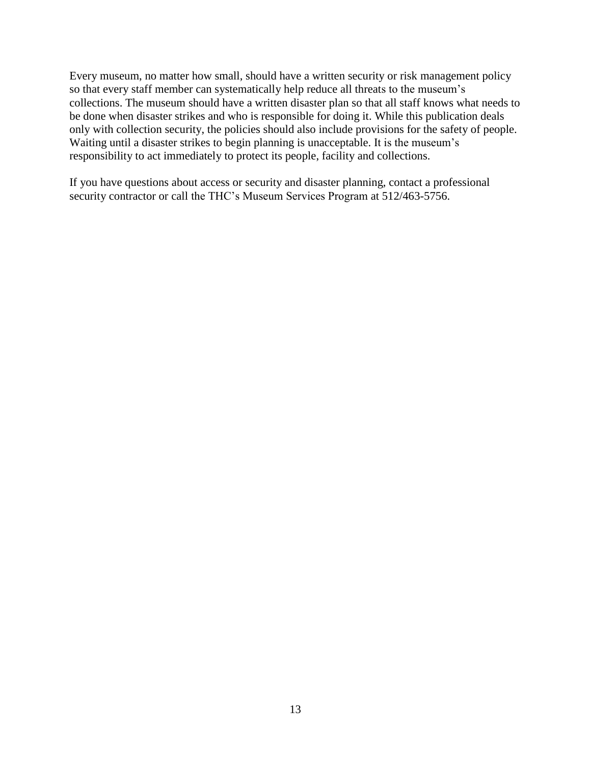Every museum, no matter how small, should have a written security or risk management policy so that every staff member can systematically help reduce all threats to the museum's collections. The museum should have a written disaster plan so that all staff knows what needs to be done when disaster strikes and who is responsible for doing it. While this publication deals only with collection security, the policies should also include provisions for the safety of people. Waiting until a disaster strikes to begin planning is unacceptable. It is the museum's responsibility to act immediately to protect its people, facility and collections.

If you have questions about access or security and disaster planning, contact a professional security contractor or call the THC's Museum Services Program at 512/463-5756.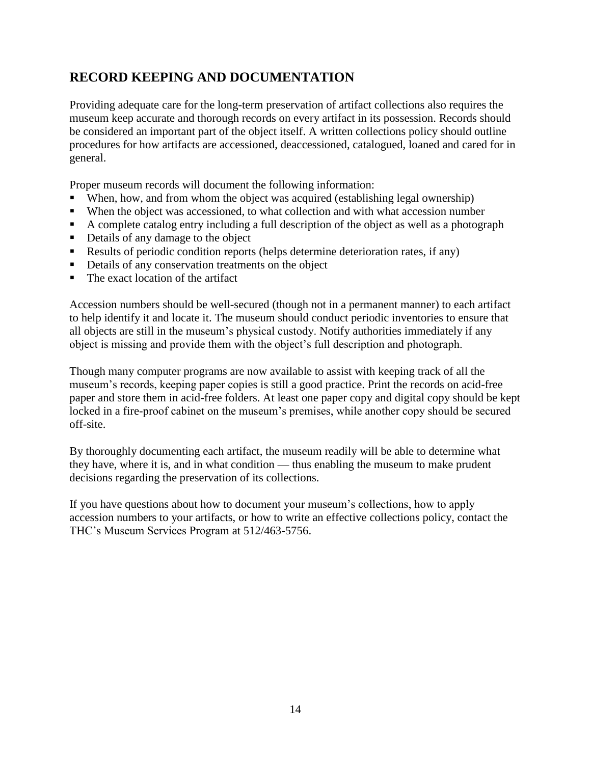## **RECORD KEEPING AND DOCUMENTATION**

Providing adequate care for the long-term preservation of artifact collections also requires the museum keep accurate and thorough records on every artifact in its possession. Records should be considered an important part of the object itself. A written collections policy should outline procedures for how artifacts are accessioned, deaccessioned, catalogued, loaned and cared for in general.

Proper museum records will document the following information:

- When, how, and from whom the object was acquired (establishing legal ownership)
- When the object was accessioned, to what collection and with what accession number
- A complete catalog entry including a full description of the object as well as a photograph
- Details of any damage to the object
- Results of periodic condition reports (helps determine deterioration rates, if any)
- Details of any conservation treatments on the object
- The exact location of the artifact

Accession numbers should be well-secured (though not in a permanent manner) to each artifact to help identify it and locate it. The museum should conduct periodic inventories to ensure that all objects are still in the museum's physical custody. Notify authorities immediately if any object is missing and provide them with the object's full description and photograph.

Though many computer programs are now available to assist with keeping track of all the museum's records, keeping paper copies is still a good practice. Print the records on acid-free paper and store them in acid-free folders. At least one paper copy and digital copy should be kept locked in a fire-proof cabinet on the museum's premises, while another copy should be secured off-site.

By thoroughly documenting each artifact, the museum readily will be able to determine what they have, where it is, and in what condition — thus enabling the museum to make prudent decisions regarding the preservation of its collections.

If you have questions about how to document your museum's collections, how to apply accession numbers to your artifacts, or how to write an effective collections policy, contact the THC's Museum Services Program at 512/463-5756.